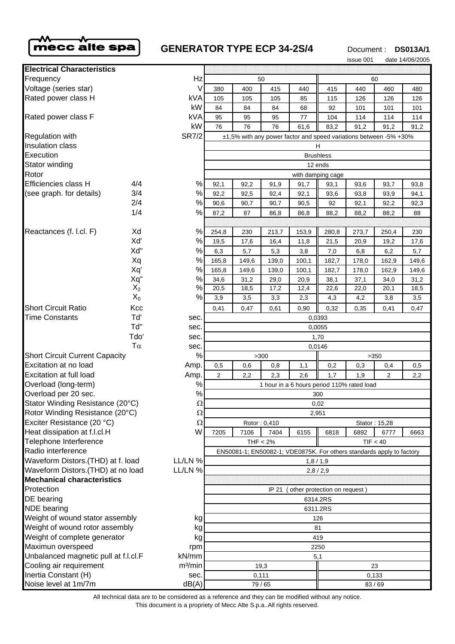

# **GENERATOR TYPE ECP 34-2S/4** Document : DS013A/1

issue 001 date 14/06/2005

| <b>Electrical Characteristics</b>             |              |                                                                       |                                               |       |       |       |       |       |       |       |
|-----------------------------------------------|--------------|-----------------------------------------------------------------------|-----------------------------------------------|-------|-------|-------|-------|-------|-------|-------|
| Frequency                                     |              | Hz                                                                    | 50                                            |       |       |       | 60    |       |       |       |
| Voltage (series star)                         |              | V                                                                     | 380                                           | 400   | 415   | 440   | 415   | 440   | 460   | 480   |
| Rated power class H                           |              | kVA                                                                   | 105                                           | 105   | 105   | 85    | 115   | 126   | 126   | 126   |
|                                               |              | kW                                                                    | 84                                            | 84    | 84    | 68    | 92    | 101   | 101   | 101   |
| Rated power class F                           |              | <b>kVA</b>                                                            | 95                                            | 95    | 95    | 77    | 104   | 114   | 114   | 114   |
|                                               |              | kW                                                                    | 76                                            | 76    | 76    | 61,6  | 83,2  | 91,2  | 91,2  | 91,2  |
| <b>SR7/2</b><br><b>Regulation with</b>        |              | ±1,5% with any power factor and speed variations between -5% +30%     |                                               |       |       |       |       |       |       |       |
| Insulation class                              |              | н                                                                     |                                               |       |       |       |       |       |       |       |
| Execution                                     |              |                                                                       | <b>Brushless</b>                              |       |       |       |       |       |       |       |
| Stator winding                                |              |                                                                       | 12 ends                                       |       |       |       |       |       |       |       |
| Rotor                                         |              |                                                                       | with damping cage                             |       |       |       |       |       |       |       |
| Efficiencies class H                          | 4/4          | $\%$                                                                  | 92,1                                          | 92,2  | 91,9  | 91,7  | 93,1  | 93,6  | 93,7  | 93,8  |
| (see graph. for details)                      | 3/4          | %                                                                     | 92,2                                          | 92,5  | 92,4  | 92,1  | 93,6  | 93,8  | 93,9  | 94,1  |
|                                               | 2/4          | $\%$                                                                  | 90,6                                          | 90,7  | 90,7  | 90,5  | 92    | 92,1  | 92,2  | 92,3  |
|                                               | 1/4          | %                                                                     | 87,2                                          | 87    | 86,8  | 86,8  | 88,2  | 88,2  | 88,2  | 88    |
|                                               |              |                                                                       |                                               |       |       |       |       |       |       |       |
| Reactances (f. l.cl. F)                       | Xd           | %                                                                     | 254,8                                         | 230   | 213,7 | 153,9 | 280,8 | 273,7 | 250,4 | 230   |
|                                               | Xď           | %                                                                     | 19,5                                          | 17,6  | 16,4  | 11,8  | 21,5  | 20,9  | 19,2  | 17,6  |
|                                               | Xd"          | $\%$                                                                  | 6,3                                           | 5,7   | 5,3   | 3,8   | 7,0   | 6,8   | 6,2   | 5,7   |
|                                               | Xq           | %                                                                     | 165,8                                         | 149,6 | 139,0 | 100,1 | 182,7 | 178,0 | 162,9 | 149,6 |
|                                               | Xq'          | %                                                                     | 165,8                                         | 149,6 | 139,0 | 100,1 | 182,7 | 178,0 | 162,9 | 149,6 |
|                                               | Xq"<br>$X_2$ | $\%$<br>%                                                             | 34,6                                          | 31,2  | 29,0  | 20,9  | 38,1  | 37,1  | 34,0  | 31,2  |
|                                               | $X_0$        | $\%$                                                                  | 20,5                                          | 18,5  | 17,2  | 12,4  | 22,6  | 22,0  | 20,1  | 18,5  |
| <b>Short Circuit Ratio</b>                    |              |                                                                       | 3,9                                           | 3,5   | 3,3   | 2,3   | 4,3   | 4,2   | 3,8   | 3,5   |
| <b>Time Constants</b>                         | Kcc<br>Td'   |                                                                       | 0,41                                          | 0,47  | 0,61  | 0,90  | 0,32  | 0,35  | 0,41  | 0,47  |
|                                               | Td"          | sec.                                                                  | 0,0393                                        |       |       |       |       |       |       |       |
|                                               | Tdo'         | sec.<br>sec.                                                          | 0,0055                                        |       |       |       |       |       |       |       |
|                                               | $T\alpha$    | sec.                                                                  | 1,70                                          |       |       |       |       |       |       |       |
| <b>Short Circuit Current Capacity</b>         |              | %                                                                     | 0,0146<br>>300<br>>350                        |       |       |       |       |       |       |       |
| Excitation at no load                         |              | Amp.                                                                  | 0,3<br>0,5<br>0,6<br>0,8<br>1,1<br>0,2<br>0,4 |       |       |       |       |       | 0,5   |       |
| Excitation at full load                       |              | Amp.                                                                  | $\overline{2}$                                | 2,2   | 2,3   | 2,6   | 1,7   | 1,9   | 2     | 2,2   |
| Overload (long-term)                          |              | $\%$                                                                  | 1 hour in a 6 hours period 110% rated load    |       |       |       |       |       |       |       |
| Overload per 20 sec.                          |              | $\%$                                                                  | 300                                           |       |       |       |       |       |       |       |
| Stator Winding Resistance (20°C)              |              | $\Omega$                                                              | 0,02                                          |       |       |       |       |       |       |       |
| Rotor Winding Resistance (20°C)               |              | $\Omega$                                                              | 2,951                                         |       |       |       |       |       |       |       |
| Exciter Resistance (20 °C)                    |              | Ω                                                                     | Rotor: 0,410<br>Stator: 15,28                 |       |       |       |       |       |       |       |
| Heat dissipation at f.l.cl.H                  |              | W                                                                     | 7205                                          | 7106  | 7404  | 6155  | 6818  | 6892  | 6777  | 6663  |
| Telephone Interference                        |              |                                                                       | TIF < 40<br>THF < 2%                          |       |       |       |       |       |       |       |
| Radio interference                            |              | EN50081-1; EN50082-1; VDE0875K. For others standards apply to factory |                                               |       |       |       |       |       |       |       |
| Waveform Distors.(THD) at f. load<br>LL/LN %  |              | 1,8/1,9                                                               |                                               |       |       |       |       |       |       |       |
| Waveform Distors. (THD) at no load<br>LL/LN % |              | 2,8/2,9                                                               |                                               |       |       |       |       |       |       |       |
| <b>Mechanical characteristics</b>             |              |                                                                       |                                               |       |       |       |       |       |       |       |
| Protection                                    |              | (other protection on request)<br>IP 21                                |                                               |       |       |       |       |       |       |       |
| DE bearing                                    |              | 6314.2RS                                                              |                                               |       |       |       |       |       |       |       |
| <b>NDE</b> bearing                            |              | 6311.2RS                                                              |                                               |       |       |       |       |       |       |       |
| Weight of wound stator assembly<br>kg         |              | 126                                                                   |                                               |       |       |       |       |       |       |       |
| Weight of wound rotor assembly<br>kg          |              | 81                                                                    |                                               |       |       |       |       |       |       |       |
| Weight of complete generator<br>kg            |              | 419                                                                   |                                               |       |       |       |       |       |       |       |
| Maximun overspeed<br>rpm                      |              | 2250                                                                  |                                               |       |       |       |       |       |       |       |
| Unbalanced magnetic pull at f.l.cl.F<br>kN/mm |              | 5,1                                                                   |                                               |       |       |       |       |       |       |       |
| Cooling air requirement                       |              | m <sup>3</sup> /min                                                   | 19,3<br>23                                    |       |       |       |       |       |       |       |
| Inertia Constant (H)                          |              | sec.                                                                  | 0,111                                         |       |       | 0,133 |       |       |       |       |
| Noise level at 1m/7m                          |              | dB(A)                                                                 | 79 / 65                                       |       |       |       | 83/69 |       |       |       |

All technical data are to be considered as a reference and they can be modified without any notice.

This document is a propriety of Mecc Alte S.p.a..All rights reserved.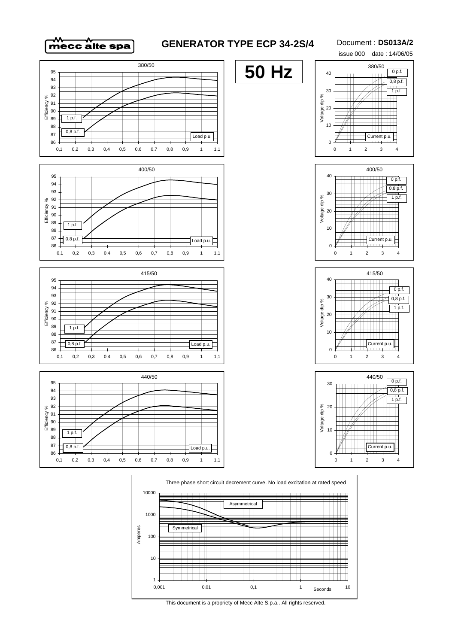

## **GENERATOR TYPE ECP 34-2S/4**

#### Document : **DS013A/2**







٣H 

Ш

ĦŦ

**TTTTI** 

0,001 0,01 0,1 1 10

Seconds

**TITLE** 

╫

 $\pm$ T

╥

⊞

**TTTTTTTTTT** 

1

10

100

metrical

TT

Amperes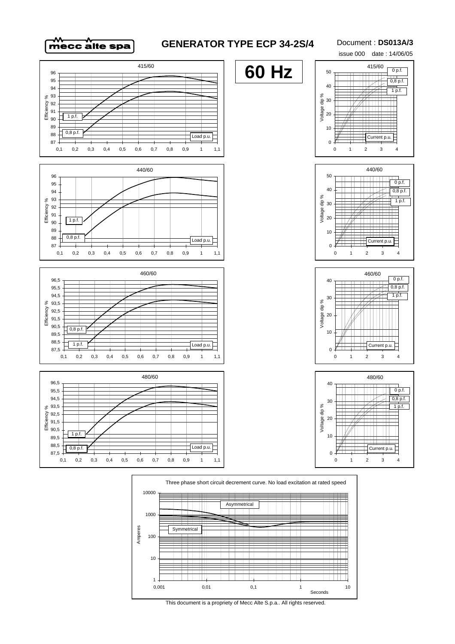

## **GENERATOR TYPE ECP 34-2S/4**

**60 Hz**

### Document : **DS013A/3**



0 p.f.

50

















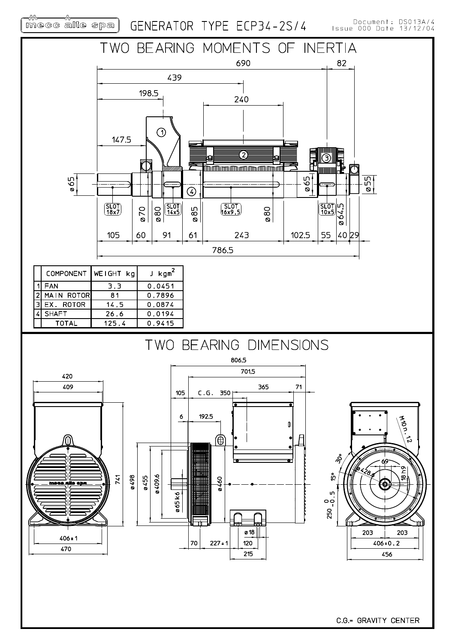